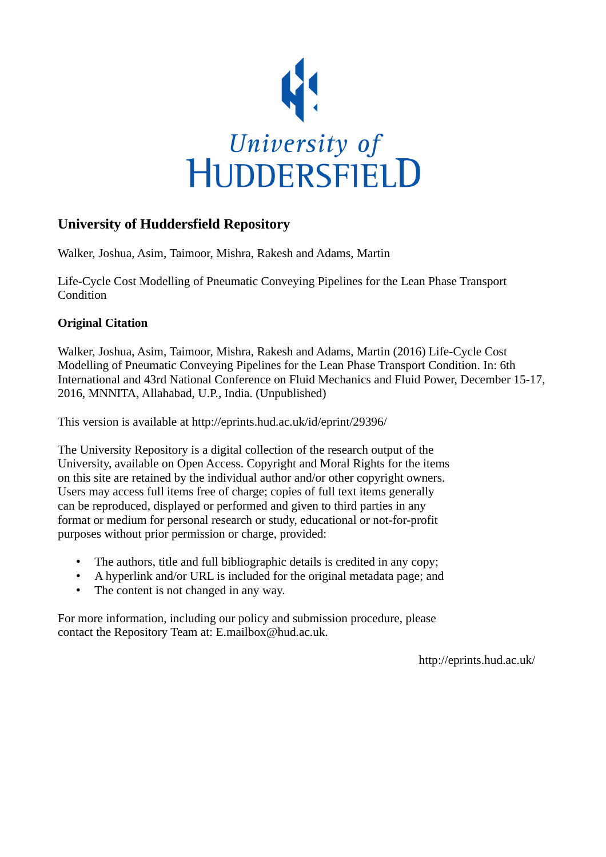

# **University of Huddersfield Repository**

Walker, Joshua, Asim, Taimoor, Mishra, Rakesh and Adams, Martin

Life-Cycle Cost Modelling of Pneumatic Conveying Pipelines for the Lean Phase Transport Condition

## **Original Citation**

Walker, Joshua, Asim, Taimoor, Mishra, Rakesh and Adams, Martin (2016) Life-Cycle Cost Modelling of Pneumatic Conveying Pipelines for the Lean Phase Transport Condition. In: 6th International and 43rd National Conference on Fluid Mechanics and Fluid Power, December 15-17, 2016, MNNITA, Allahabad, U.P., India. (Unpublished)

This version is available at http://eprints.hud.ac.uk/id/eprint/29396/

The University Repository is a digital collection of the research output of the University, available on Open Access. Copyright and Moral Rights for the items on this site are retained by the individual author and/or other copyright owners. Users may access full items free of charge; copies of full text items generally can be reproduced, displayed or performed and given to third parties in any format or medium for personal research or study, educational or not-for-profit purposes without prior permission or charge, provided:

- The authors, title and full bibliographic details is credited in any copy;
- A hyperlink and/or URL is included for the original metadata page; and
- The content is not changed in any way.

For more information, including our policy and submission procedure, please contact the Repository Team at: E.mailbox@hud.ac.uk.

http://eprints.hud.ac.uk/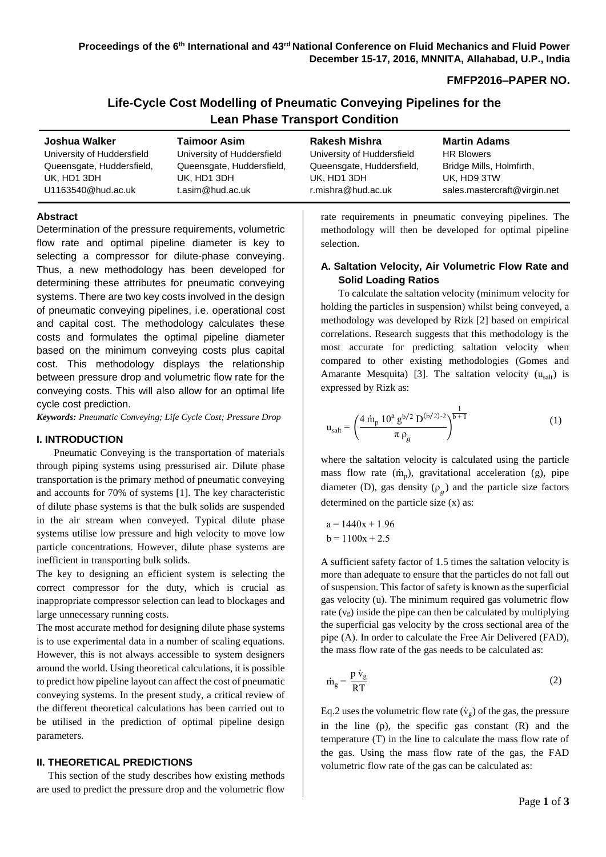## **FMFP2016–PAPER NO.**

| Life-Cycle Cost Modelling of Pneumatic Conveying Pipelines for the |  |
|--------------------------------------------------------------------|--|
| <b>Lean Phase Transport Condition</b>                              |  |

| Joshua Walker              | <b>Taimoor Asim</b>        | Rakesh Mishra              | <b>Martin Adams</b>          |
|----------------------------|----------------------------|----------------------------|------------------------------|
| University of Huddersfield | University of Huddersfield | University of Huddersfield | <b>HR Blowers</b>            |
| Queensgate, Huddersfield,  | Queensgate, Huddersfield,  | Queensgate, Huddersfield,  | Bridge Mills, Holmfirth,     |
| UK, HD1 3DH                | UK, HD1 3DH                | UK, HD1 3DH                | UK, HD9 3TW                  |
| U1163540@hud.ac.uk         | t.asim@hud.ac.uk           | r.mishra@hud.ac.uk         | sales.mastercraft@virgin.net |

## **Abstract**

Determination of the pressure requirements, volumetric flow rate and optimal pipeline diameter is key to selecting a compressor for dilute-phase conveying. Thus, a new methodology has been developed for determining these attributes for pneumatic conveying systems. There are two key costs involved in the design of pneumatic conveying pipelines, i.e. operational cost and capital cost. The methodology calculates these costs and formulates the optimal pipeline diameter based on the minimum conveying costs plus capital cost. This methodology displays the relationship between pressure drop and volumetric flow rate for the conveying costs. This will also allow for an optimal life cycle cost prediction.

*Keywords: Pneumatic Conveying; Life Cycle Cost; Pressure Drop*

#### **I. INTRODUCTION**

Pneumatic Conveying is the transportation of materials through piping systems using pressurised air. Dilute phase transportation is the primary method of pneumatic conveying and accounts for 70% of systems [1]. The key characteristic of dilute phase systems is that the bulk solids are suspended in the air stream when conveyed. Typical dilute phase systems utilise low pressure and high velocity to move low particle concentrations. However, dilute phase systems are inefficient in transporting bulk solids.

The key to designing an efficient system is selecting the correct compressor for the duty, which is crucial as inappropriate compressor selection can lead to blockages and large unnecessary running costs.

The most accurate method for designing dilute phase systems is to use experimental data in a number of scaling equations. However, this is not always accessible to system designers around the world. Using theoretical calculations, it is possible to predict how pipeline layout can affect the cost of pneumatic conveying systems. In the present study, a critical review of the different theoretical calculations has been carried out to be utilised in the prediction of optimal pipeline design parameters.

## **II. THEORETICAL PREDICTIONS**

This section of the study describes how existing methods are used to predict the pressure drop and the volumetric flow rate requirements in pneumatic conveying pipelines. The methodology will then be developed for optimal pipeline selection.

## **A. Saltation Velocity, Air Volumetric Flow Rate and Solid Loading Ratios**

To calculate the saltation velocity (minimum velocity for holding the particles in suspension) whilst being conveyed, a methodology was developed by Rizk [2] based on empirical correlations. Research suggests that this methodology is the most accurate for predicting saltation velocity when compared to other existing methodologies (Gomes and Amarante Mesquita) [3]. The saltation velocity  $(u<sub>sub</sub>)$  is expressed by Rizk as:

$$
u_{salt} = \left(\frac{4 \dot{m}_p 10^a g^{b/2} D^{(b/2)-2}}{\pi \rho_g}\right)^{\frac{1}{b+1}}
$$
(1)

where the saltation velocity is calculated using the particle mass flow rate  $(m_p)$ , gravitational acceleration (g), pipe diameter (D), gas density  $(\rho_g)$  and the particle size factors determined on the particle size (x) as:

$$
a = 1440x + 1.96
$$
  

$$
b = 1100x + 2.5
$$

A sufficient safety factor of 1.5 times the saltation velocity is more than adequate to ensure that the particles do not fall out of suspension. This factor of safety is known as the superficial gas velocity (u). The minimum required gas volumetric flow rate  $(v<sub>g</sub>)$  inside the pipe can then be calculated by multiplying the superficial gas velocity by the cross sectional area of the pipe (A). In order to calculate the Free Air Delivered (FAD), the mass flow rate of the gas needs to be calculated as:

$$
\dot{m}_g = \frac{p \dot{v}_g}{RT} \tag{2}
$$

Eq.2 uses the volumetric flow rate  $(\dot{v}_g)$  of the gas, the pressure in the line  $(p)$ , the specific gas constant  $(R)$  and the temperature (T) in the line to calculate the mass flow rate of the gas. Using the mass flow rate of the gas, the FAD volumetric flow rate of the gas can be calculated as: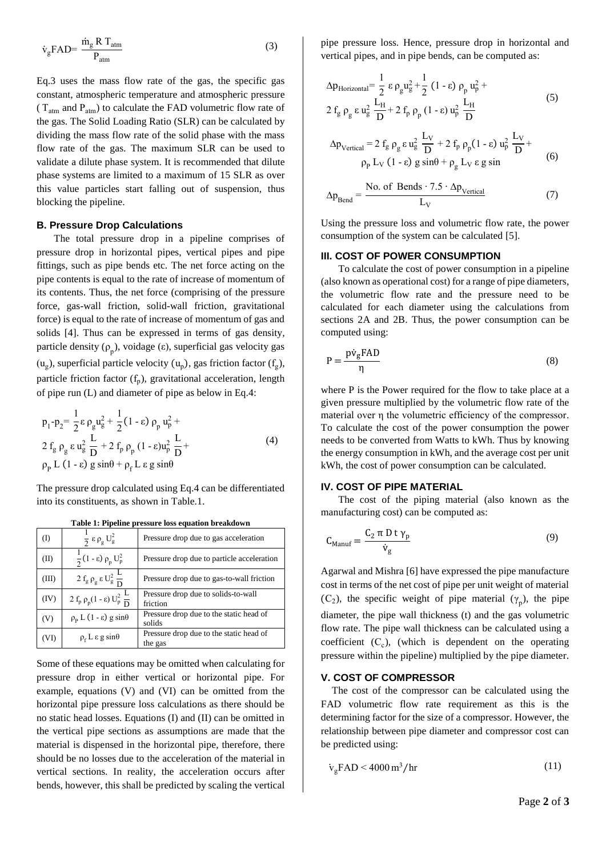$$
\dot{v}_g \text{FAD} = \frac{\dot{m}_g \text{R T}_{atm}}{P_{atm}} \tag{3}
$$

Eq.3 uses the mass flow rate of the gas, the specific gas constant, atmospheric temperature and atmospheric pressure ( $T_{atm}$  and  $P_{atm}$ ) to calculate the FAD volumetric flow rate of the gas. The Solid Loading Ratio (SLR) can be calculated by dividing the mass flow rate of the solid phase with the mass flow rate of the gas. The maximum SLR can be used to validate a dilute phase system. It is recommended that dilute phase systems are limited to a maximum of 15 SLR as over this value particles start falling out of suspension, thus blocking the pipeline.

#### **B. Pressure Drop Calculations**

The total pressure drop in a pipeline comprises of pressure drop in horizontal pipes, vertical pipes and pipe fittings, such as pipe bends etc. The net force acting on the pipe contents is equal to the rate of increase of momentum of its contents. Thus, the net force (comprising of the pressure force, gas-wall friction, solid-wall friction, gravitational force) is equal to the rate of increase of momentum of gas and solids [4]. Thus can be expressed in terms of gas density, particle density  $(\rho_p)$ , voidage  $(\varepsilon)$ , superficial gas velocity gas

 $(u_g)$ , superficial particle velocity  $(u_p)$ , gas friction factor  $(f_g)$ , particle friction factor  $(f_p)$ , gravitational acceleration, length of pipe run (L) and diameter of pipe as below in Eq.4:

$$
p_1 - p_2 = \frac{1}{2} \varepsilon \rho_g u_g^2 + \frac{1}{2} (1 - \varepsilon) \rho_p u_p^2 +
$$
  
\n
$$
2 f_g \rho_g \varepsilon u_g^2 \frac{L}{D} + 2 f_p \rho_p (1 - \varepsilon) u_p^2 \frac{L}{D} +
$$
  
\n
$$
\rho_p L (1 - \varepsilon) g \sin \theta + \rho_f L \varepsilon g \sin \theta
$$
\n(4)

The pressure drop calculated using Eq.4 can be differentiated into its constituents, as shown in Table.1.

| $($ $\Gamma$ | $\frac{1}{2} \varepsilon \rho_{\rm g} U_{\rm g}^2$            | Pressure drop due to gas acceleration              |
|--------------|---------------------------------------------------------------|----------------------------------------------------|
| (II)         | $\frac{1}{2}(1-\epsilon)\rho_p U_p^2$                         | Pressure drop due to particle acceleration         |
| (III)        | $2 f_g \rho_g \varepsilon U_g^2 \frac{L}{D}$                  | Pressure drop due to gas-to-wall friction          |
| (IV)         | 2 f <sub>p</sub> ρ <sub>p</sub> (1 - ε) $U_p^2$ $\frac{L}{D}$ | Pressure drop due to solids-to-wall<br>friction    |
| (V)          | $\rho_{\rm p}$ L (1 - $\varepsilon$ ) g sin $\theta$          | Pressure drop due to the static head of<br>solids  |
| (VI)         | $\rho_f$ L $\varepsilon$ g sin $\theta$                       | Pressure drop due to the static head of<br>the gas |

**Table 1: Pipeline pressure loss equation breakdown**

Some of these equations may be omitted when calculating for pressure drop in either vertical or horizontal pipe. For example, equations (V) and (VI) can be omitted from the horizontal pipe pressure loss calculations as there should be no static head losses. Equations (I) and (II) can be omitted in the vertical pipe sections as assumptions are made that the material is dispensed in the horizontal pipe, therefore, there should be no losses due to the acceleration of the material in vertical sections. In reality, the acceleration occurs after bends, however, this shall be predicted by scaling the vertical

pipe pressure loss. Hence, pressure drop in horizontal and vertical pipes, and in pipe bends, can be computed as:

$$
\Delta p_{\text{Horizontal}} = \frac{1}{2} \varepsilon \rho_{g} u_{g}^{2} + \frac{1}{2} (1 - \varepsilon) \rho_{p} u_{p}^{2} +
$$
  
2 f<sub>g</sub> \rho<sub>g</sub> \varepsilon u<sub>g</sub><sup>2</sup> \frac{L\_{H}}{D} + 2 f\_{p} \rho\_{p} (1 - \varepsilon) u\_{p}^{2} \frac{L\_{H}}{D} (5)

$$
\Delta p_{\text{Vertical}} = 2 f_{g} \rho_{g} \varepsilon u_{g}^{2} \frac{L_{V}}{D} + 2 f_{p} \rho_{p} (1 - \varepsilon) u_{p}^{2} \frac{L_{V}}{D} +
$$
  
\n
$$
\rho_{p} L_{V} (1 - \varepsilon) g \sin \theta + \rho_{g} L_{V} \varepsilon g \sin
$$
 (6)

$$
\Delta p_{\text{Bend}} = \frac{\text{No. of Bends} \cdot 7.5 \cdot \Delta p_{\text{Vertical}}}{L_{\text{V}}} \tag{7}
$$

Using the pressure loss and volumetric flow rate, the power consumption of the system can be calculated [5].

#### **III. COST OF POWER CONSUMPTION**

To calculate the cost of power consumption in a pipeline (also known as operational cost) for a range of pipe diameters, the volumetric flow rate and the pressure need to be calculated for each diameter using the calculations from sections 2A and 2B. Thus, the power consumption can be computed using:

$$
P = \frac{p\dot{v}_g \text{FAD}}{\eta} \tag{8}
$$

where P is the Power required for the flow to take place at a given pressure multiplied by the volumetric flow rate of the material over η the volumetric efficiency of the compressor. To calculate the cost of the power consumption the power needs to be converted from Watts to kWh. Thus by knowing the energy consumption in kWh, and the average cost per unit kWh, the cost of power consumption can be calculated.

## **IV. COST OF PIPE MATERIAL**

The cost of the piping material (also known as the manufacturing cost) can be computed as:

$$
C_{\text{Mannf}} = \frac{C_2 \pi D t \gamma_p}{\dot{v}_g} \tag{9}
$$

Agarwal and Mishra [6] have expressed the pipe manufacture cost in terms of the net cost of pipe per unit weight of material (C<sub>2</sub>), the specific weight of pipe material ( $\gamma_p$ ), the pipe diameter, the pipe wall thickness (t) and the gas volumetric flow rate. The pipe wall thickness can be calculated using a coefficient  $(C_c)$ , (which is dependent on the operating pressure within the pipeline) multiplied by the pipe diameter.

#### **V. COST OF COMPRESSOR**

The cost of the compressor can be calculated using the FAD volumetric flow rate requirement as this is the determining factor for the size of a compressor. However, the relationship between pipe diameter and compressor cost can be predicted using:

$$
\dot{v}_g \text{FAD} < 4000 \, \text{m}^3/\text{hr} \tag{11}
$$